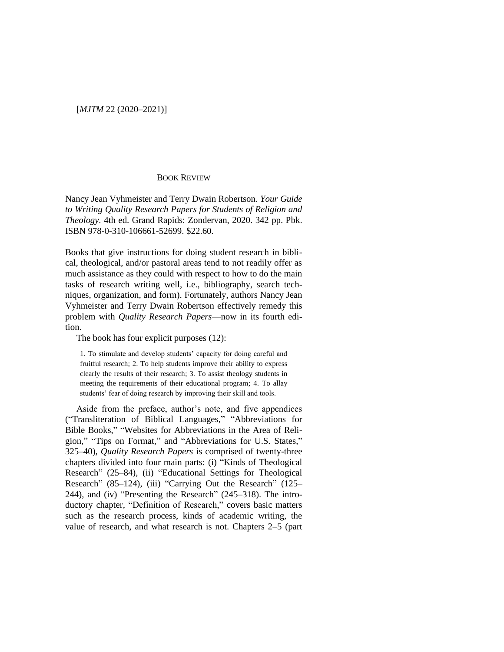[*MJTM* 22 (2020–2021)]

## BOOK REVIEW

Nancy Jean Vyhmeister and Terry Dwain Robertson. *Your Guide to Writing Quality Research Papers for Students of Religion and Theology.* 4th ed. Grand Rapids: Zondervan, 2020. 342 pp. Pbk. ISBN 978-0-310-106661-52699. \$22.60.

Books that give instructions for doing student research in biblical, theological, and/or pastoral areas tend to not readily offer as much assistance as they could with respect to how to do the main tasks of research writing well, i.e., bibliography, search techniques, organization, and form). Fortunately, authors Nancy Jean Vyhmeister and Terry Dwain Robertson effectively remedy this problem with *Quality Research Papers*—now in its fourth edition.

The book has four explicit purposes (12):

1. To stimulate and develop students' capacity for doing careful and fruitful research; 2. To help students improve their ability to express clearly the results of their research; 3. To assist theology students in meeting the requirements of their educational program; 4. To allay students' fear of doing research by improving their skill and tools.

Aside from the preface, author's note, and five appendices ("Transliteration of Biblical Languages," "Abbreviations for Bible Books," "Websites for Abbreviations in the Area of Religion," "Tips on Format," and "Abbreviations for U.S. States," 325–40), *Quality Research Papers* is comprised of twenty-three chapters divided into four main parts: (i) "Kinds of Theological Research" (25–84), (ii) "Educational Settings for Theological Research" (85–124), (iii) "Carrying Out the Research" (125– 244), and (iv) "Presenting the Research" (245–318). The introductory chapter, "Definition of Research," covers basic matters such as the research process, kinds of academic writing, the value of research, and what research is not. Chapters 2–5 (part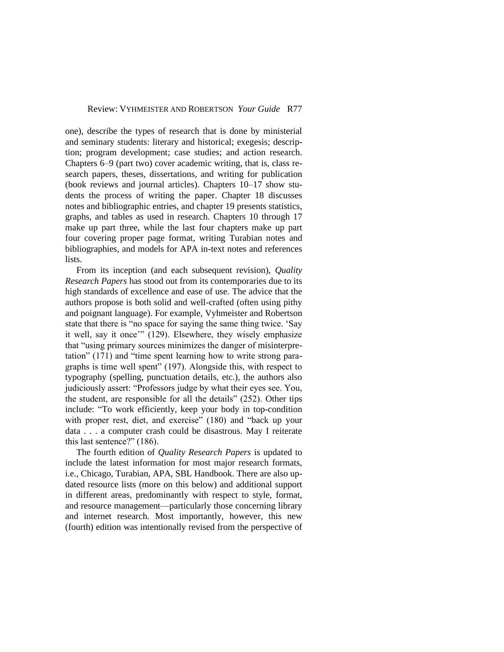one), describe the types of research that is done by ministerial and seminary students: literary and historical; exegesis; description; program development; case studies; and action research. Chapters 6–9 (part two) cover academic writing, that is, class research papers, theses, dissertations, and writing for publication (book reviews and journal articles). Chapters 10–17 show students the process of writing the paper. Chapter 18 discusses notes and bibliographic entries, and chapter 19 presents statistics, graphs, and tables as used in research. Chapters 10 through 17 make up part three, while the last four chapters make up part four covering proper page format, writing Turabian notes and bibliographies, and models for APA in-text notes and references lists.

From its inception (and each subsequent revision), *Quality Research Papers* has stood out from its contemporaries due to its high standards of excellence and ease of use. The advice that the authors propose is both solid and well-crafted (often using pithy and poignant language). For example, Vyhmeister and Robertson state that there is "no space for saying the same thing twice. 'Say it well, say it once'" (129). Elsewhere, they wisely emphasize that "using primary sources minimizes the danger of misinterpretation" (171) and "time spent learning how to write strong paragraphs is time well spent" (197). Alongside this, with respect to typography (spelling, punctuation details, etc.), the authors also judiciously assert: "Professors judge by what their eyes see. You, the student, are responsible for all the details" (252). Other tips include: "To work efficiently, keep your body in top-condition with proper rest, diet, and exercise" (180) and "back up your data . . . a computer crash could be disastrous. May I reiterate this last sentence?" (186).

The fourth edition of *Quality Research Papers* is updated to include the latest information for most major research formats, i.e., Chicago, Turabian, APA, SBL Handbook. There are also updated resource lists (more on this below) and additional support in different areas, predominantly with respect to style, format, and resource management—particularly those concerning library and internet research. Most importantly, however, this new (fourth) edition was intentionally revised from the perspective of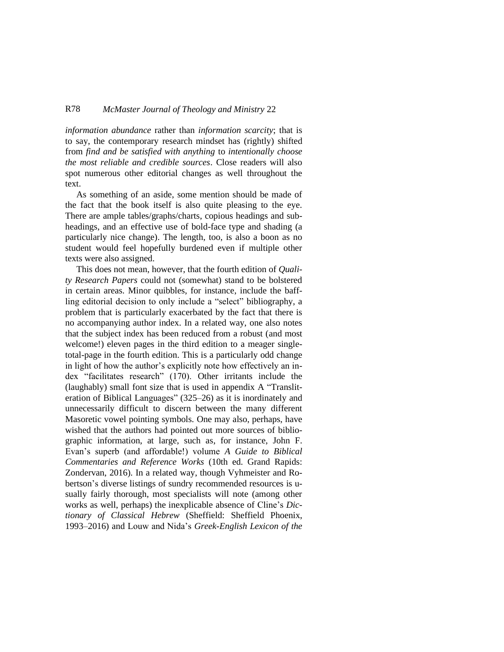## R78 *McMaster Journal of Theology and Ministry* 22

*information abundance* rather than *information scarcity*; that is to say, the contemporary research mindset has (rightly) shifted from *find and be satisfied with anything* to *intentionally choose the most reliable and credible sources*. Close readers will also spot numerous other editorial changes as well throughout the text.

As something of an aside, some mention should be made of the fact that the book itself is also quite pleasing to the eye. There are ample tables/graphs/charts, copious headings and subheadings, and an effective use of bold-face type and shading (a particularly nice change). The length, too, is also a boon as no student would feel hopefully burdened even if multiple other texts were also assigned.

This does not mean, however, that the fourth edition of *Quality Research Papers* could not (somewhat) stand to be bolstered in certain areas. Minor quibbles, for instance, include the baffling editorial decision to only include a "select" bibliography, a problem that is particularly exacerbated by the fact that there is no accompanying author index. In a related way, one also notes that the subject index has been reduced from a robust (and most welcome!) eleven pages in the third edition to a meager singletotal-page in the fourth edition. This is a particularly odd change in light of how the author's explicitly note how effectively an index "facilitates research" (170). Other irritants include the (laughably) small font size that is used in appendix A "Transliteration of Biblical Languages" (325–26) as it is inordinately and unnecessarily difficult to discern between the many different Masoretic vowel pointing symbols. One may also, perhaps, have wished that the authors had pointed out more sources of bibliographic information, at large, such as, for instance, John F. Evan's superb (and affordable!) volume *A Guide to Biblical Commentaries and Reference Works* (10th ed. Grand Rapids: Zondervan, 2016). In a related way, though Vyhmeister and Robertson's diverse listings of sundry recommended resources is usually fairly thorough, most specialists will note (among other works as well, perhaps) the inexplicable absence of Cline's *Dictionary of Classical Hebrew* (Sheffield: Sheffield Phoenix, 1993–2016) and Louw and Nida's *Greek-English Lexicon of the*